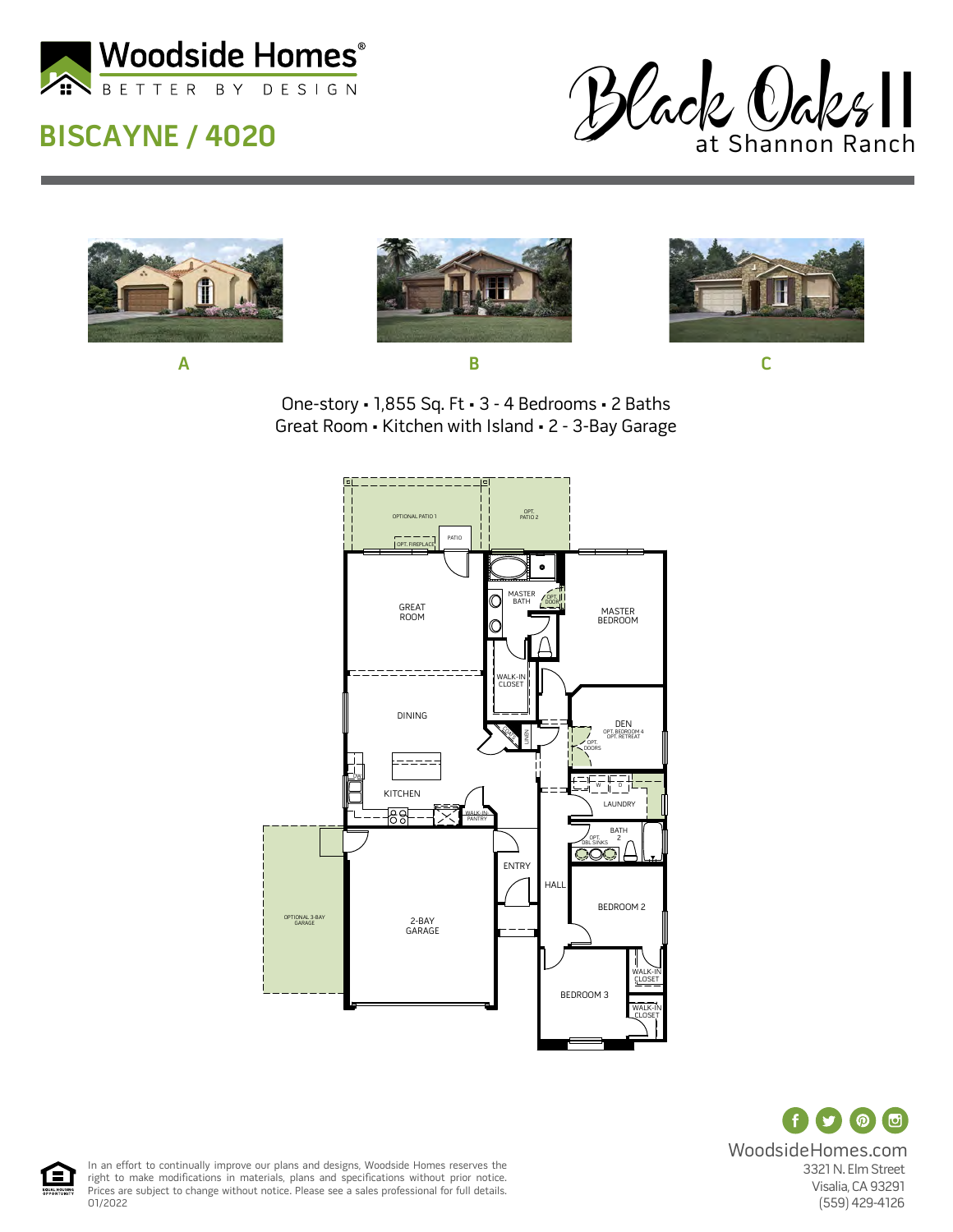

## **BISCAYNE / 4020**









One-story • 1,855 Sq. Ft • 3 - 4 Bedrooms • 2 Baths Great Room • Kitchen with Island • 2 - 3-Bay Garage



(ල  $\odot$ WoodsideHomes.com 3321 N. Elm Street Visalia, CA 93291 (559) 429-4126